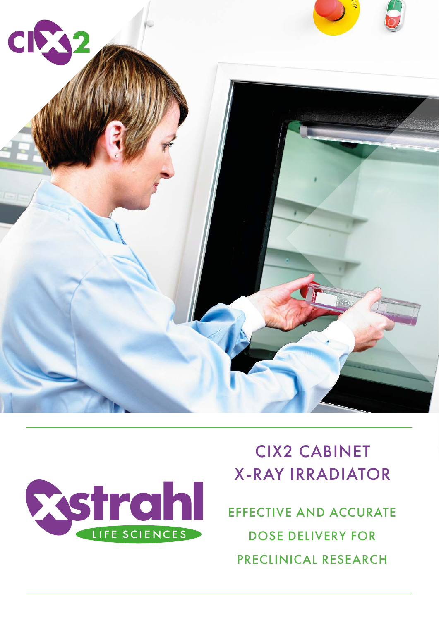



# CIX2 CABINET X-RAY IRRADIATOR

EFFECTIVE AND ACCURATE DOSE DELIVERY FOR PRECLINICAL RESEARCH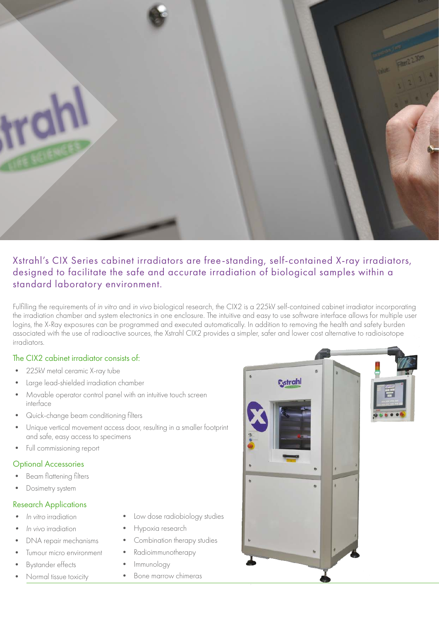

# Xstrahl's CIX Series cabinet irradiators are free-standing, self-contained X-ray irradiators, designed to facilitate the safe and accurate irradiation of biological samples within a standard laboratory environment.

Fulfilling the requirements of in vitro and in vivo biological research, the CIX2 is a 225kV self-contained cabinet irradiator incorporating the irradiation chamber and system electronics in one enclosure. The intuitive and easy to use software interface allows for multiple user logins, the X-Ray exposures can be programmed and executed automatically. In addition to removing the health and safety burden associated with the use of radioactive sources, the Xstrahl CIX2 provides a simpler, safer and lower cost alternative to radioisotope irradiators.

#### The CIX2 cabinet irradiator consists of:

- 225kV metal ceramic X-ray tube
- Large lead-shielded irradiation chamber
- Movable operator control panel with an intuitive touch screen interface
- Quick-change beam conditioning filters
- Unique vertical movement access door, resulting in a smaller footprint and safe, easy access to specimens
- Full commissioning report

#### Optional Accessories

- Beam flattening filters
- Dosimetry system

#### Research Applications

- In vitro irradiation
- In vivo irradiation
- DNA repair mechanisms
- Tumour micro environment
- Bystander effects
- Normal tissue toxicity
- Low dose radiobiology studies
- Hypoxia research
- Combination therapy studies
- Radioimmunotherapy
- Immunology
- Bone marrow chimeras

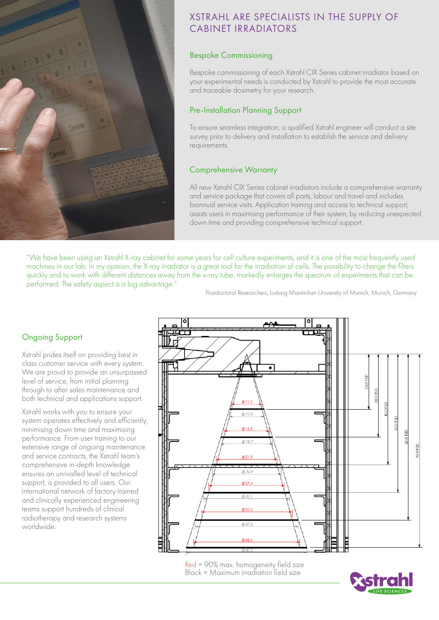

# XSTRAHL ARE SPECIALISTS IN THE SUPPLY OF CABINET IRRADIATORS

## Bespoke Commissioning

Bespoke commissioning of each Xstrahl CIX Series cabinet irradiator based on your experimental needs is conducted by Xstrahl to provide the most accurate and traceable dosimetry for your research.

# Pre-Installation Planning Support

To ensure seamless integration, a qualified Xstrahl engineer will conduct a site survey prior to delivery and installation to establish the service and delivery requirements.

## Comprehensive Warranty

All new Xstrahl CIX Series cabinet irradiators include a comprehensive warranty and service package that covers all parts, labour and travel and includes biannual service visits. Application training and access to technical support, assists users in maximising performance of their system, by reducing unexpected down time and providing comprehensive technical support.

"We have been using an Xstrahl X-ray cabinet for some years for cell culture experiments, and it is one of the most frequently used machines in our lab. In my opinion, the X-ray irradiator is a great tool for the irradiation of cells. The possibility to change the filters quickly and to work with different distances away from the x-ray tube, markedly enlarges the spectrum of experiments that can be performed. The safety aspect is a big advantage."

Postdoctoral Researchers, Ludwig Maximilian University of Munich, Munich, Germany

# Ongoing Support

Xstrahl prides itself on providing best in class customer service with every system. We are proud to provide an unsurpassed level of service, from initial planning through to after sales maintenance and both technical and applications support.

Xstrahl works with you to ensure your system operates effectively and efficiently, minimising down time and maximising performance. From user training to our extensive range of ongoing maintenance and service contracts, the Xstrahl team's comprehensive in-depth knowledge ensures an unrivalled level of technical support, is provided to all users. Our international network of factory trained and clinically experienced engineering teams support hundreds of clinical radiotherapy and research systems worldwide.



Red = 90% max. homogeneity field size Black = Maximum irradiation field size